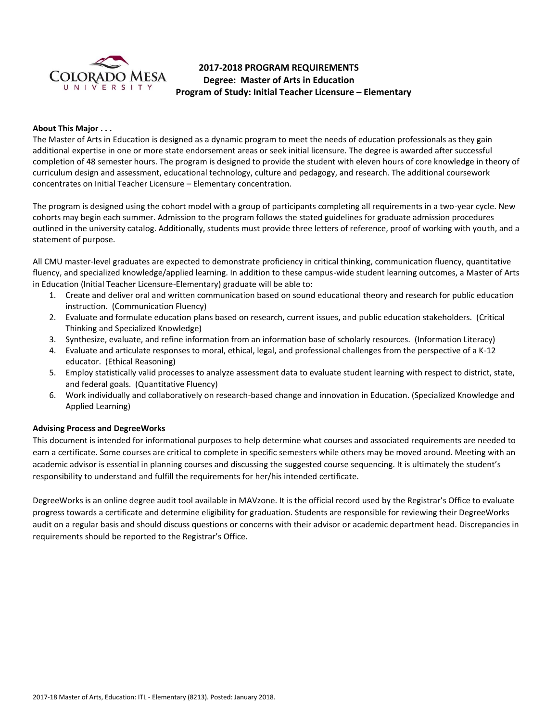

# **2017-2018 PROGRAM REQUIREMENTS Degree: Master of Arts in Education Program of Study: Initial Teacher Licensure – Elementary**

## **About This Major . . .**

The Master of Arts in Education is designed as a dynamic program to meet the needs of education professionals as they gain additional expertise in one or more state endorsement areas or seek initial licensure. The degree is awarded after successful completion of 48 semester hours. The program is designed to provide the student with eleven hours of core knowledge in theory of curriculum design and assessment, educational technology, culture and pedagogy, and research. The additional coursework concentrates on Initial Teacher Licensure – Elementary concentration.

The program is designed using the cohort model with a group of participants completing all requirements in a two-year cycle. New cohorts may begin each summer. Admission to the program follows the stated guidelines for graduate admission procedures outlined in the university catalog. Additionally, students must provide three letters of reference, proof of working with youth, and a statement of purpose.

All CMU master-level graduates are expected to demonstrate proficiency in critical thinking, communication fluency, quantitative fluency, and specialized knowledge/applied learning. In addition to these campus-wide student learning outcomes, a Master of Arts in Education (Initial Teacher Licensure-Elementary) graduate will be able to:

- 1. Create and deliver oral and written communication based on sound educational theory and research for public education instruction. (Communication Fluency)
- 2. Evaluate and formulate education plans based on research, current issues, and public education stakeholders. (Critical Thinking and Specialized Knowledge)
- 3. Synthesize, evaluate, and refine information from an information base of scholarly resources. (Information Literacy)
- 4. Evaluate and articulate responses to moral, ethical, legal, and professional challenges from the perspective of a K-12 educator. (Ethical Reasoning)
- 5. Employ statistically valid processes to analyze assessment data to evaluate student learning with respect to district, state, and federal goals. (Quantitative Fluency)
- 6. Work individually and collaboratively on research-based change and innovation in Education. (Specialized Knowledge and Applied Learning)

# **Advising Process and DegreeWorks**

This document is intended for informational purposes to help determine what courses and associated requirements are needed to earn a certificate. Some courses are critical to complete in specific semesters while others may be moved around. Meeting with an academic advisor is essential in planning courses and discussing the suggested course sequencing. It is ultimately the student's responsibility to understand and fulfill the requirements for her/his intended certificate.

DegreeWorks is an online degree audit tool available in MAVzone. It is the official record used by the Registrar's Office to evaluate progress towards a certificate and determine eligibility for graduation. Students are responsible for reviewing their DegreeWorks audit on a regular basis and should discuss questions or concerns with their advisor or academic department head. Discrepancies in requirements should be reported to the Registrar's Office.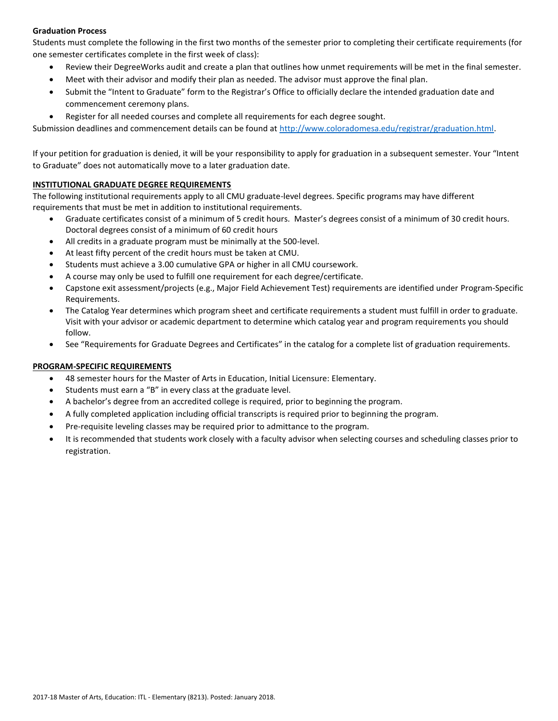# **Graduation Process**

Students must complete the following in the first two months of the semester prior to completing their certificate requirements (for one semester certificates complete in the first week of class):

- Review their DegreeWorks audit and create a plan that outlines how unmet requirements will be met in the final semester.
- Meet with their advisor and modify their plan as needed. The advisor must approve the final plan.
- Submit the "Intent to Graduate" form to the Registrar's Office to officially declare the intended graduation date and commencement ceremony plans.
- Register for all needed courses and complete all requirements for each degree sought.

Submission deadlines and commencement details can be found at [http://www.coloradomesa.edu/registrar/graduation.html.](http://www.coloradomesa.edu/registrar/graduation.html)

If your petition for graduation is denied, it will be your responsibility to apply for graduation in a subsequent semester. Your "Intent to Graduate" does not automatically move to a later graduation date.

## **INSTITUTIONAL GRADUATE DEGREE REQUIREMENTS**

The following institutional requirements apply to all CMU graduate-level degrees. Specific programs may have different requirements that must be met in addition to institutional requirements.

- Graduate certificates consist of a minimum of 5 credit hours. Master's degrees consist of a minimum of 30 credit hours. Doctoral degrees consist of a minimum of 60 credit hours
- All credits in a graduate program must be minimally at the 500-level.
- At least fifty percent of the credit hours must be taken at CMU.
- Students must achieve a 3.00 cumulative GPA or higher in all CMU coursework.
- A course may only be used to fulfill one requirement for each degree/certificate.
- Capstone exit assessment/projects (e.g., Major Field Achievement Test) requirements are identified under Program-Specific Requirements.
- The Catalog Year determines which program sheet and certificate requirements a student must fulfill in order to graduate. Visit with your advisor or academic department to determine which catalog year and program requirements you should follow.
- See "Requirements for Graduate Degrees and Certificates" in the catalog for a complete list of graduation requirements.

# **PROGRAM-SPECIFIC REQUIREMENTS**

- 48 semester hours for the Master of Arts in Education, Initial Licensure: Elementary.
- Students must earn a "B" in every class at the graduate level.
- A bachelor's degree from an accredited college is required, prior to beginning the program.
- A fully completed application including official transcripts is required prior to beginning the program.
- Pre-requisite leveling classes may be required prior to admittance to the program.
- It is recommended that students work closely with a faculty advisor when selecting courses and scheduling classes prior to registration.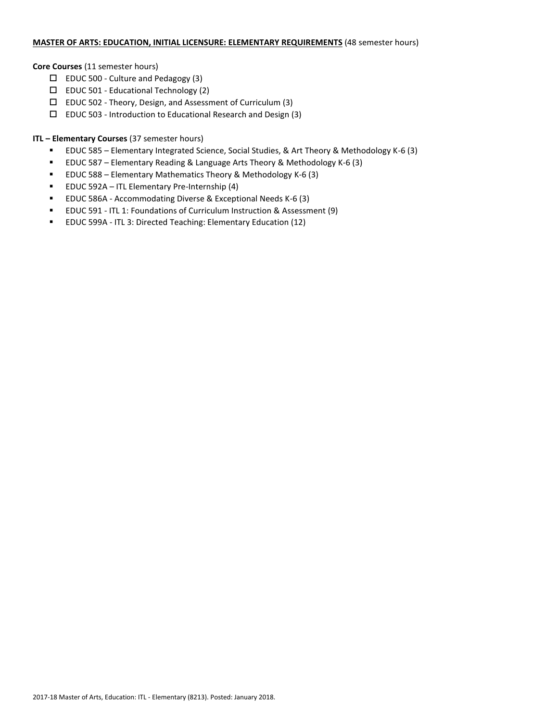# **MASTER OF ARTS: EDUCATION, INITIAL LICENSURE: ELEMENTARY REQUIREMENTS** (48 semester hours)

#### **Core Courses** (11 semester hours)

- $\square$  EDUC 500 Culture and Pedagogy (3)
- EDUC 501 Educational Technology (2)
- $\Box$  EDUC 502 Theory, Design, and Assessment of Curriculum (3)
- $\square$  EDUC 503 Introduction to Educational Research and Design (3)

## **ITL – Elementary Courses** (37 semester hours)

- EDUC 585 Elementary Integrated Science, Social Studies, & Art Theory & Methodology K-6 (3)
- EDUC 587 Elementary Reading & Language Arts Theory & Methodology K-6 (3)
- EDUC 588 Elementary Mathematics Theory & Methodology K-6 (3)
- EDUC 592A ITL Elementary Pre-Internship (4)
- EDUC 586A Accommodating Diverse & Exceptional Needs K-6 (3)
- EDUC 591 ITL 1: Foundations of Curriculum Instruction & Assessment (9)
- EDUC 599A ITL 3: Directed Teaching: Elementary Education (12)